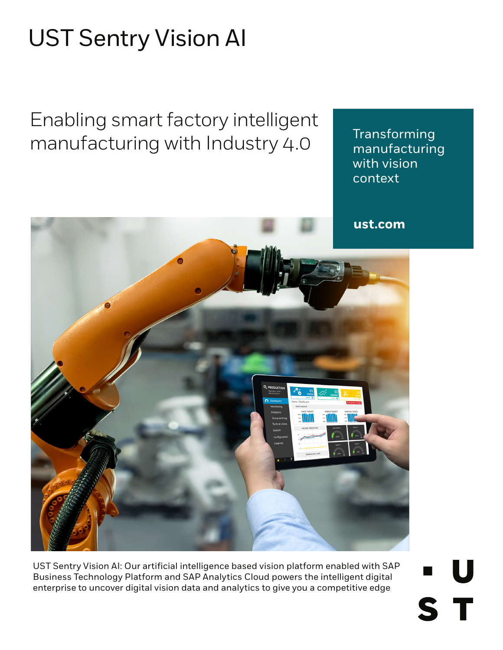# UST Sentry Vision AI

Enabling smart factory intelligent manufacturing with Industry 4.0

Transforming manufacturing with vision context

U

S T

**ust.com**



UST Sentry Vision AI: Our artificial intelligence based vision platform enabled with SAP Business Technology Platform and SAP Analytics Cloud powers the intelligent digital enterprise to uncover digital vision data and analytics to give you a competitive edge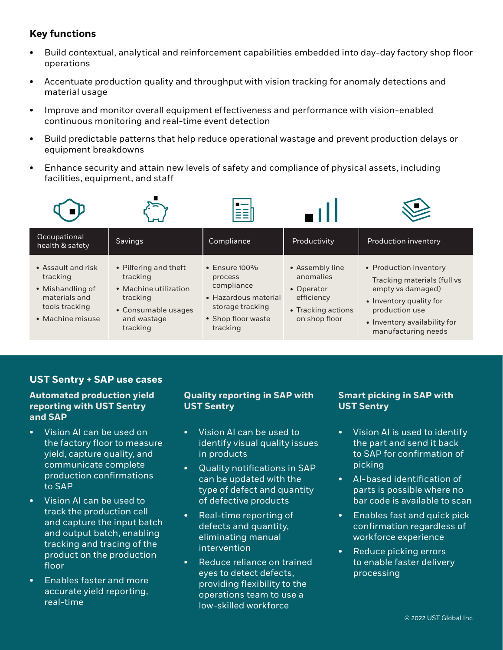# **Key functions**

- Build contextual, analytical and reinforcement capabilities embedded into day-day factory shop floor operations
- Accentuate production quality and throughput with vision tracking for anomaly detections and material usage
- Improve and monitor overall equipment effectiveness and performance with vision-enabled continuous monitoring and real-time event detection
- Build predictable patterns that help reduce operational wastage and prevent production delays or equipment breakdowns
- Enhance security and attain new levels of safety and compliance of physical assets, including facilities, equipment, and staff









| Occupational<br>health & safety                                                                           | Savings                                                                                                                  | Compliance                                                                                                                 | Productivity                                                                                    | Production inventory                                                                                                                                                           |
|-----------------------------------------------------------------------------------------------------------|--------------------------------------------------------------------------------------------------------------------------|----------------------------------------------------------------------------------------------------------------------------|-------------------------------------------------------------------------------------------------|--------------------------------------------------------------------------------------------------------------------------------------------------------------------------------|
| • Assault and risk<br>tracking<br>• Mishandling of<br>materials and<br>tools tracking<br>• Machine misuse | • Pilfering and theft<br>tracking<br>• Machine utilization<br>tracking<br>• Consumable usages<br>and wastage<br>tracking | $\cdot$ Ensure 100%<br>process<br>compliance<br>• Hazardous material<br>storage tracking<br>• Shop floor waste<br>tracking | • Assembly line<br>anomalies<br>• Operator<br>efficiency<br>• Tracking actions<br>on shop floor | • Production inventory<br>Tracking materials (full vs<br>empty vs damaged)<br>• Inventory quality for<br>production use<br>• Inventory availability for<br>manufacturing needs |

## **UST Sentry + SAP use cases**

## **Automated production yield reporting with UST Sentry and SAP**

- Vision AI can be used on the factory floor to measure yield, capture quality, and communicate complete production confirmations to SAP
- Vision AI can be used to track the production cell and capture the input batch and output batch, enabling tracking and tracing of the product on the production floor
- Enables faster and more accurate yield reporting, real-time

## **Quality reporting in SAP with UST Sentry**

- Vision AI can be used to identify visual quality issues in products
- Quality notifications in SAP can be updated with the type of defect and quantity of defective products
- Real-time reporting of defects and quantity, eliminating manual intervention
- Reduce reliance on trained eyes to detect defects, providing flexibility to the operations team to use a low-skilled workforce

## **Smart picking in SAP with UST Sentry**

- Vision AI is used to identify the part and send it back to SAP for confirmation of picking
- AI-based identification of parts is possible where no bar code is available to scan
- Enables fast and quick pick confirmation regardless of workforce experience
- Reduce picking errors to enable faster delivery processing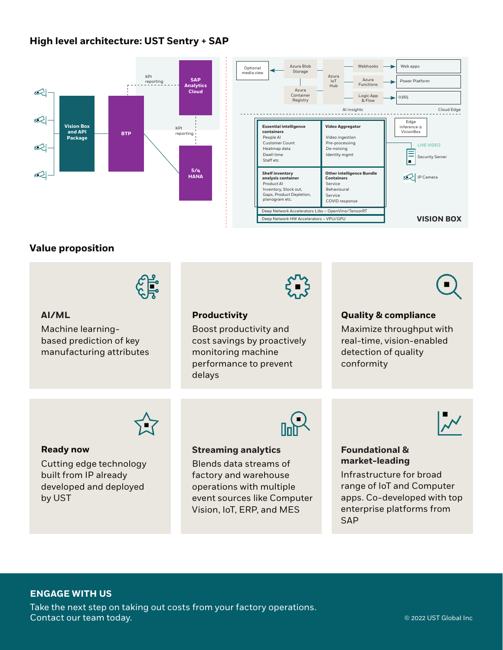## **High level architecture: UST Sentry + SAP**





## **Value proposition**



#### **AI/ML**

Machine learningbased prediction of key manufacturing attributes



## **Productivity**

Boost productivity and cost savings by proactively monitoring machine performance to prevent delays

#### **Quality & compliance**

Maximize throughput with real-time, vision-enabled detection of quality conformity



#### **Ready now**

Cutting edge technology built from IP already developed and deployed by UST



#### **Streaming analytics**

Blends data streams of factory and warehouse operations with multiple event sources like Computer Vision, IoT, ERP, and MES



#### **Foundational & market-leading**

Infrastructure for broad range of IoT and Computer apps. Co-developed with top enterprise platforms from **SAP** 

## **ENGAGE WITH US**

Take the next step on taking out costs from your factory operations. Contact our team today. © 2022 UST Global Inc